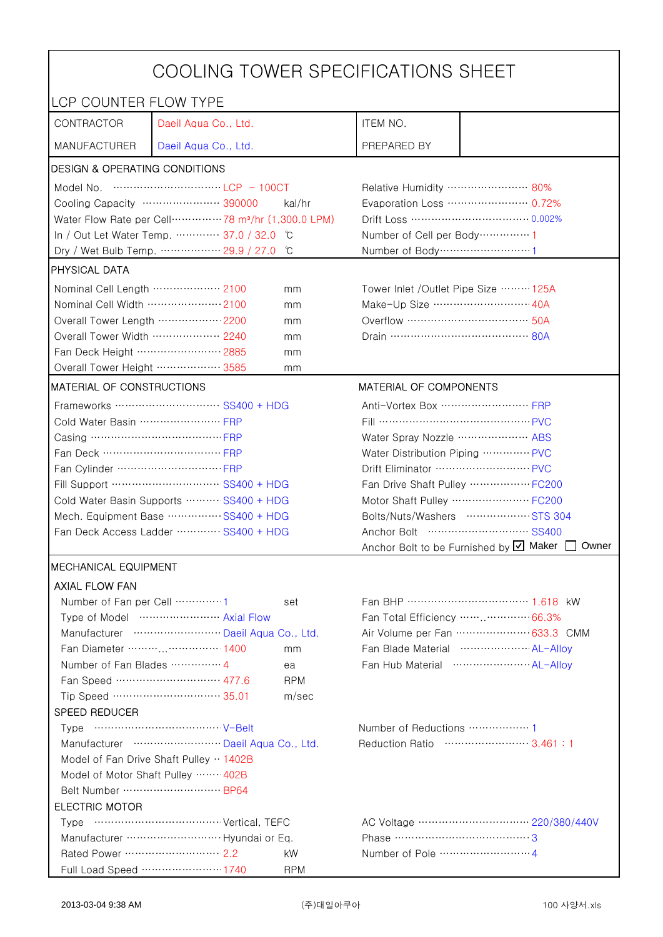| COOLING TOWER SPECIFICATIONS SHEET                                     |                                                                              |                                |                                                    |                                                   |  |
|------------------------------------------------------------------------|------------------------------------------------------------------------------|--------------------------------|----------------------------------------------------|---------------------------------------------------|--|
| LCP COUNTER FLOW TYPE                                                  |                                                                              |                                |                                                    |                                                   |  |
| CONTRACTOR                                                             | Daeil Aqua Co., Ltd.                                                         |                                | ITEM NO.                                           |                                                   |  |
| <b>MANUFACTURER</b>                                                    | Daeil Aqua Co., Ltd.                                                         |                                | PREPARED BY                                        |                                                   |  |
| <b>DESIGN &amp; OPERATING CONDITIONS</b>                               |                                                                              |                                |                                                    |                                                   |  |
|                                                                        |                                                                              |                                | Relative Humidity …………………… 80%                     |                                                   |  |
|                                                                        | Cooling Capacity ………………… 390000                                              | kal/hr                         |                                                    | Evaporation Loss ………………… 0.72%                    |  |
|                                                                        | Water Flow Rate per Cell ··············· 78 m <sup>3</sup> /hr (1,300.0 LPM) |                                |                                                    |                                                   |  |
|                                                                        | In / Out Let Water Temp.  37.0 / 32.0                                        | C                              | Number of Cell per Body ··············· 1          |                                                   |  |
|                                                                        | Dry / Wet Bulb Temp.  29.9 / 27.0                                            | °C                             | Number of Body ··································1 |                                                   |  |
| PHYSICAL DATA                                                          |                                                                              |                                |                                                    |                                                   |  |
| Nominal Cell Length ……………… 2100                                        |                                                                              | mm                             | Tower Inlet / Outlet Pipe Size  125A               |                                                   |  |
| Nominal Cell Width  2100                                               |                                                                              | mm                             | Make-Up Size ……………………… 40A                         |                                                   |  |
| Overall Tower Length  2200                                             |                                                                              | mm                             |                                                    |                                                   |  |
| Overall Tower Width ……………… 2240                                        |                                                                              | mm                             | Drain ………………………………… 80A                            |                                                   |  |
| Fan Deck Height …………………… 2885                                          |                                                                              | mm                             |                                                    |                                                   |  |
| Overall Tower Height ……………… 3585                                       |                                                                              | mm                             |                                                    |                                                   |  |
| MATERIAL OF CONSTRUCTIONS                                              |                                                                              |                                | MATERIAL OF COMPONENTS                             |                                                   |  |
|                                                                        | Frameworks ………………………… SS400 + HDG                                            |                                | Anti-Vortex Box  FRP                               |                                                   |  |
| Cold Water Basin  FRP                                                  |                                                                              |                                | Fill …………………………………… PVC                            |                                                   |  |
| Casing ………………………………… FRP                                               |                                                                              | Water Spray Nozzle ………………… ABS |                                                    |                                                   |  |
|                                                                        |                                                                              | Water Distribution Piping  PVC |                                                    |                                                   |  |
|                                                                        |                                                                              | Drift Eliminator  PVC          |                                                    |                                                   |  |
| Fill Support ………………………… SS400 + HDG                                    |                                                                              | Fan Drive Shaft Pulley  FC200  |                                                    |                                                   |  |
| Cold Water Basin Supports  SS400 + HDG                                 |                                                                              |                                |                                                    | Motor Shaft Pulley  FC200                         |  |
| Mech. Equipment Base SS400 + HDG                                       |                                                                              |                                |                                                    | Bolts/Nuts/Washers  STS 304                       |  |
| Fan Deck Access Ladder ………… SS400 + HDG                                |                                                                              |                                |                                                    |                                                   |  |
|                                                                        |                                                                              |                                |                                                    | Anchor Bolt to be Furnished by Ø Maker<br>Owner   |  |
| <b>MECHANICAL EQUIPMENT</b>                                            |                                                                              |                                |                                                    |                                                   |  |
| AXIAL FLOW FAN                                                         |                                                                              |                                |                                                    |                                                   |  |
| Number of Fan per Cell 1                                               |                                                                              | set                            |                                                    | Fan BHP ……………………………… 1.618 kW                     |  |
|                                                                        |                                                                              | Fan Total Efficiency  66.3%    |                                                    |                                                   |  |
|                                                                        | Manufacturer  Daeil Aqua Co., Ltd.                                           |                                |                                                    | Air Volume per Fan  633.3 CMM                     |  |
|                                                                        | Fan Diameter ……… 1400                                                        | mm                             |                                                    | Fan Blade Material ····················· AL-Alloy |  |
| Number of Fan Blades  4                                                |                                                                              | ea                             |                                                    |                                                   |  |
|                                                                        | Fan Speed ………………………… 477.6                                                   | <b>RPM</b>                     |                                                    |                                                   |  |
|                                                                        | Tip Speed ………………………… 35.01                                                   | m/sec                          |                                                    |                                                   |  |
| SPEED REDUCER                                                          |                                                                              |                                |                                                    |                                                   |  |
|                                                                        |                                                                              |                                |                                                    |                                                   |  |
| Reduction Ratio …………………… 3.461:1<br>Manufacturer  Daeil Aqua Co., Ltd. |                                                                              |                                |                                                    |                                                   |  |
| Model of Fan Drive Shaft Pulley · 1402B                                |                                                                              |                                |                                                    |                                                   |  |
| Model of Motor Shaft Pulley  402B                                      |                                                                              |                                |                                                    |                                                   |  |
| Belt Number  BP64                                                      |                                                                              |                                |                                                    |                                                   |  |
| <b>ELECTRIC MOTOR</b>                                                  |                                                                              |                                |                                                    |                                                   |  |
|                                                                        |                                                                              |                                |                                                    |                                                   |  |
|                                                                        |                                                                              |                                |                                                    |                                                   |  |
| Rated Power ……………………… 2.2                                              |                                                                              | kW                             |                                                    |                                                   |  |
|                                                                        | Full Load Speed ………………… 1740                                                 | <b>RPM</b>                     |                                                    |                                                   |  |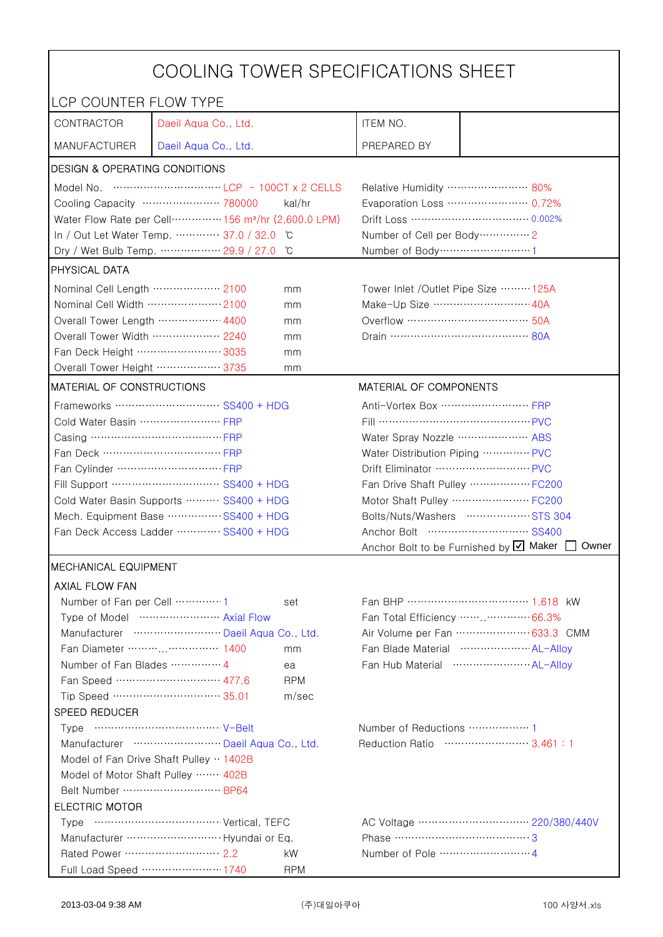| COOLING TOWER SPECIFICATIONS SHEET                                                                                                                                                                                                                                                                                                   |                                       |                                                   |                                                    |                                                    |  |
|--------------------------------------------------------------------------------------------------------------------------------------------------------------------------------------------------------------------------------------------------------------------------------------------------------------------------------------|---------------------------------------|---------------------------------------------------|----------------------------------------------------|----------------------------------------------------|--|
| LCP COUNTER FLOW TYPE                                                                                                                                                                                                                                                                                                                |                                       |                                                   |                                                    |                                                    |  |
| CONTRACTOR                                                                                                                                                                                                                                                                                                                           | Daeil Aqua Co., Ltd.                  |                                                   | ITEM NO.                                           |                                                    |  |
| <b>MANUFACTURER</b>                                                                                                                                                                                                                                                                                                                  | Daeil Aqua Co., Ltd.                  |                                                   | PREPARED BY                                        |                                                    |  |
| <b>DESIGN &amp; OPERATING CONDITIONS</b>                                                                                                                                                                                                                                                                                             |                                       |                                                   |                                                    |                                                    |  |
| Model No. $\cdots$ $\cdots$ $\cdots$ $\cdots$ $\cdots$ $\cdots$ $\cdots$ $\cdots$ $\cdots$ $\cdots$ $\cdots$ $\cdots$ $\cdots$ $\cdots$ $\cdots$ $\cdots$ $\cdots$ $\cdots$ $\cdots$ $\cdots$ $\cdots$ $\cdots$ $\cdots$ $\cdots$ $\cdots$ $\cdots$ $\cdots$ $\cdots$ $\cdots$ $\cdots$ $\cdots$ $\cdots$ $\cdots$ $\cdots$ $\cdots$ |                                       |                                                   | Relative Humidity …………………… 80%                     |                                                    |  |
| Cooling Capacity ………………… 780000<br>kal/hr                                                                                                                                                                                                                                                                                            |                                       |                                                   | Evaporation Loss …………………… 0.72%                    |                                                    |  |
| Water Flow Rate per Cell ··············· 156 m <sup>3</sup> /hr (2,600.0 LPM)                                                                                                                                                                                                                                                        |                                       |                                                   |                                                    |                                                    |  |
|                                                                                                                                                                                                                                                                                                                                      | In / Out Let Water Temp.  37.0 / 32.0 | C °                                               | Number of Cell per Body ··············· 2          |                                                    |  |
|                                                                                                                                                                                                                                                                                                                                      | Dry / Wet Bulb Temp.  29.9 / 27.0     | °C                                                | Number of Body ··································1 |                                                    |  |
| <b>PHYSICAL DATA</b>                                                                                                                                                                                                                                                                                                                 |                                       |                                                   |                                                    |                                                    |  |
| Nominal Cell Length  2100                                                                                                                                                                                                                                                                                                            |                                       | mm                                                | Tower Inlet /Outlet Pipe Size ……… 125A             |                                                    |  |
| Nominal Cell Width 2100                                                                                                                                                                                                                                                                                                              |                                       | mm                                                | Make-Up Size ……………………… 40A                         |                                                    |  |
| Overall Tower Length ……………… 4400                                                                                                                                                                                                                                                                                                     |                                       | mm                                                | Overflow …………………………… 50A                           |                                                    |  |
| Overall Tower Width  2240                                                                                                                                                                                                                                                                                                            |                                       | mm                                                |                                                    |                                                    |  |
| Fan Deck Height …………………… 3035                                                                                                                                                                                                                                                                                                        |                                       | mm                                                |                                                    |                                                    |  |
| Overall Tower Height ……………… 3735                                                                                                                                                                                                                                                                                                     |                                       | mm                                                |                                                    |                                                    |  |
| <b>MATERIAL OF CONSTRUCTIONS</b>                                                                                                                                                                                                                                                                                                     |                                       |                                                   | MATERIAL OF COMPONENTS                             |                                                    |  |
|                                                                                                                                                                                                                                                                                                                                      | Frameworks  SS400 + HDG               |                                                   | Anti-Vortex Box …………………… FRP                       |                                                    |  |
| Cold Water Basin  FRP                                                                                                                                                                                                                                                                                                                |                                       |                                                   | Fill …………………………………… PVC                            |                                                    |  |
| Casing …………………………………… FRP                                                                                                                                                                                                                                                                                                            |                                       | Water Spray Nozzle ………………… ABS                    |                                                    |                                                    |  |
| Fan Deck …………………………… FRP                                                                                                                                                                                                                                                                                                             |                                       | Water Distribution Piping  PVC                    |                                                    |                                                    |  |
|                                                                                                                                                                                                                                                                                                                                      |                                       |                                                   |                                                    |                                                    |  |
| Fill Support ………………………… SS400 + HDG                                                                                                                                                                                                                                                                                                  |                                       | Fan Drive Shaft Pulley  FC200                     |                                                    |                                                    |  |
| Cold Water Basin Supports  SS400 + HDG                                                                                                                                                                                                                                                                                               |                                       |                                                   |                                                    | Motor Shaft Pulley  FC200                          |  |
| Mech. Equipment Base  SS400 + HDG                                                                                                                                                                                                                                                                                                    |                                       | Bolts/Nuts/Washers  STS 304                       |                                                    |                                                    |  |
| Fan Deck Access Ladder ………… SS400 + HDG                                                                                                                                                                                                                                                                                              |                                       | Anchor Bolt to be Furnished by Ø Maker [<br>Owner |                                                    |                                                    |  |
|                                                                                                                                                                                                                                                                                                                                      |                                       |                                                   |                                                    |                                                    |  |
| <b>IMECHANICAL EQUIPMENT</b>                                                                                                                                                                                                                                                                                                         |                                       |                                                   |                                                    |                                                    |  |
| <b>AXIAL FLOW FAN</b>                                                                                                                                                                                                                                                                                                                |                                       |                                                   |                                                    |                                                    |  |
| Number of Fan per Cell  1                                                                                                                                                                                                                                                                                                            | Type of Model  Axial Flow             | set                                               |                                                    | Fan Total Efficiency  66.3%                        |  |
|                                                                                                                                                                                                                                                                                                                                      | Manufacturer  Daeil Aqua Co., Ltd.    |                                                   |                                                    | Air Volume per Fan  633.3 CMM                      |  |
|                                                                                                                                                                                                                                                                                                                                      | Fan Diameter ……… …………… 1400           | mm                                                |                                                    | Fan Blade Material ······················ AL-Allov |  |
| Number of Fan Blades  4                                                                                                                                                                                                                                                                                                              |                                       | ea                                                |                                                    | Fan Hub Material  AL-Alloy                         |  |
|                                                                                                                                                                                                                                                                                                                                      | Fan Speed ………………………… 477.6            | <b>RPM</b>                                        |                                                    |                                                    |  |
|                                                                                                                                                                                                                                                                                                                                      | Tip Speed ………………………… 35.01            | m/sec                                             |                                                    |                                                    |  |
| <b>SPEED REDUCER</b>                                                                                                                                                                                                                                                                                                                 |                                       |                                                   |                                                    |                                                    |  |
|                                                                                                                                                                                                                                                                                                                                      |                                       |                                                   | Number of Reductions  1                            |                                                    |  |
| Manufacturer  Daeil Aqua Co., Ltd.                                                                                                                                                                                                                                                                                                   |                                       |                                                   | Reduction Ratio …………………… 3.461:1                   |                                                    |  |
| Model of Fan Drive Shaft Pulley  1402B                                                                                                                                                                                                                                                                                               |                                       |                                                   |                                                    |                                                    |  |
| Model of Motor Shaft Pulley  402B                                                                                                                                                                                                                                                                                                    |                                       |                                                   |                                                    |                                                    |  |
| Belt Number  BP64                                                                                                                                                                                                                                                                                                                    |                                       |                                                   |                                                    |                                                    |  |
| <b>ELECTRIC MOTOR</b>                                                                                                                                                                                                                                                                                                                |                                       |                                                   |                                                    |                                                    |  |
|                                                                                                                                                                                                                                                                                                                                      |                                       |                                                   |                                                    |                                                    |  |
|                                                                                                                                                                                                                                                                                                                                      |                                       |                                                   | Phase ……………………………………3                              |                                                    |  |
| Rated Power ……………………… 2.2                                                                                                                                                                                                                                                                                                            |                                       | kW                                                |                                                    |                                                    |  |
|                                                                                                                                                                                                                                                                                                                                      | Full Load Speed ………………… 1740          | <b>RPM</b>                                        |                                                    |                                                    |  |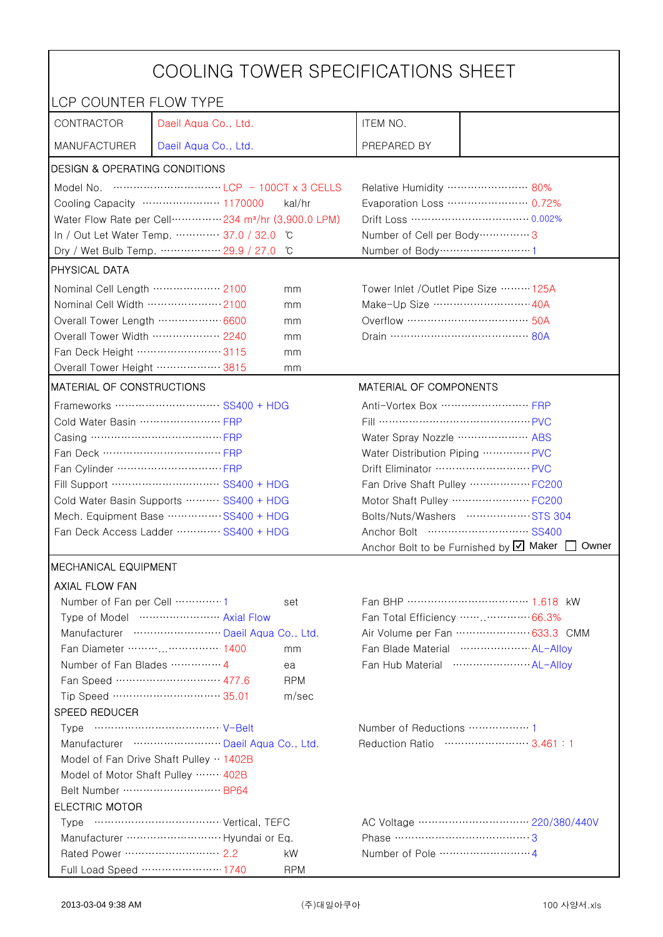| COOLING TOWER SPECIFICATIONS SHEET                                                                                                                                                                                                                                                                                                   |                                                                               |                                                   |                                                    |                                                    |  |
|--------------------------------------------------------------------------------------------------------------------------------------------------------------------------------------------------------------------------------------------------------------------------------------------------------------------------------------|-------------------------------------------------------------------------------|---------------------------------------------------|----------------------------------------------------|----------------------------------------------------|--|
| LCP COUNTER FLOW TYPE                                                                                                                                                                                                                                                                                                                |                                                                               |                                                   |                                                    |                                                    |  |
| CONTRACTOR                                                                                                                                                                                                                                                                                                                           | Daeil Aqua Co., Ltd.                                                          |                                                   | ITEM NO.                                           |                                                    |  |
| <b>MANUFACTURER</b>                                                                                                                                                                                                                                                                                                                  | Daeil Aqua Co., Ltd.                                                          |                                                   | PREPARED BY                                        |                                                    |  |
| <b>DESIGN &amp; OPERATING CONDITIONS</b>                                                                                                                                                                                                                                                                                             |                                                                               |                                                   |                                                    |                                                    |  |
| Model No. $\cdots$ $\cdots$ $\cdots$ $\cdots$ $\cdots$ $\cdots$ $\cdots$ $\cdots$ $\cdots$ $\cdots$ $\cdots$ $\cdots$ $\cdots$ $\cdots$ $\cdots$ $\cdots$ $\cdots$ $\cdots$ $\cdots$ $\cdots$ $\cdots$ $\cdots$ $\cdots$ $\cdots$ $\cdots$ $\cdots$ $\cdots$ $\cdots$ $\cdots$ $\cdots$ $\cdots$ $\cdots$ $\cdots$ $\cdots$ $\cdots$ |                                                                               |                                                   | Relative Humidity …………………… 80%                     |                                                    |  |
|                                                                                                                                                                                                                                                                                                                                      | Cooling Capacity ………………… 1170000                                              | kal/hr                                            |                                                    | Evaporation Loss …………………… 0.72%                    |  |
|                                                                                                                                                                                                                                                                                                                                      | Water Flow Rate per Cell ··············· 234 m <sup>3</sup> /hr (3,900.0 LPM) |                                                   |                                                    |                                                    |  |
|                                                                                                                                                                                                                                                                                                                                      | In / Out Let Water Temp.  37.0 / 32.0                                         | C                                                 | Number of Cell per Body ················ 3         |                                                    |  |
|                                                                                                                                                                                                                                                                                                                                      | Dry / Wet Bulb Temp.  29.9 / 27.0                                             | °C                                                | Number of Body ··································1 |                                                    |  |
| <b>PHYSICAL DATA</b>                                                                                                                                                                                                                                                                                                                 |                                                                               |                                                   |                                                    |                                                    |  |
| Nominal Cell Length  2100                                                                                                                                                                                                                                                                                                            |                                                                               | mm                                                | Tower Inlet /Outlet Pipe Size ……… 125A             |                                                    |  |
| Nominal Cell Width 2100                                                                                                                                                                                                                                                                                                              |                                                                               | mm                                                | Make-Up Size ……………………… 40A                         |                                                    |  |
| Overall Tower Length ……………… 6600                                                                                                                                                                                                                                                                                                     |                                                                               | mm                                                | Overflow …………………………… 50A                           |                                                    |  |
| Overall Tower Width  2240                                                                                                                                                                                                                                                                                                            |                                                                               | mm                                                |                                                    |                                                    |  |
| Fan Deck Height …………………… 3115                                                                                                                                                                                                                                                                                                        |                                                                               | mm                                                |                                                    |                                                    |  |
| Overall Tower Height ……………… 3815                                                                                                                                                                                                                                                                                                     |                                                                               | mm                                                |                                                    |                                                    |  |
| MATERIAL OF CONSTRUCTIONS                                                                                                                                                                                                                                                                                                            |                                                                               |                                                   | MATERIAL OF COMPONENTS                             |                                                    |  |
|                                                                                                                                                                                                                                                                                                                                      | Frameworks  SS400 + HDG                                                       |                                                   | Anti-Vortex Box …………………… FRP                       |                                                    |  |
| Cold Water Basin  FRP                                                                                                                                                                                                                                                                                                                |                                                                               |                                                   | Fill …………………………………… PVC                            |                                                    |  |
| Casing …………………………………… FRP                                                                                                                                                                                                                                                                                                            |                                                                               |                                                   | Water Spray Nozzle ………………… ABS                     |                                                    |  |
| Fan Deck …………………………… FRP                                                                                                                                                                                                                                                                                                             |                                                                               | Water Distribution Piping  PVC                    |                                                    |                                                    |  |
|                                                                                                                                                                                                                                                                                                                                      |                                                                               |                                                   |                                                    |                                                    |  |
| Fill Support ………………………… SS400 + HDG                                                                                                                                                                                                                                                                                                  |                                                                               | Fan Drive Shaft Pulley  FC200                     |                                                    |                                                    |  |
| Cold Water Basin Supports  SS400 + HDG                                                                                                                                                                                                                                                                                               |                                                                               |                                                   |                                                    | Motor Shaft Pulley  FC200                          |  |
| Mech. Equipment Base  SS400 + HDG                                                                                                                                                                                                                                                                                                    |                                                                               | Bolts/Nuts/Washers  STS 304                       |                                                    |                                                    |  |
| Fan Deck Access Ladder ………… SS400 + HDG                                                                                                                                                                                                                                                                                              |                                                                               | Anchor Bolt to be Furnished by Ø Maker [<br>Owner |                                                    |                                                    |  |
|                                                                                                                                                                                                                                                                                                                                      |                                                                               |                                                   |                                                    |                                                    |  |
| <b>IMECHANICAL EQUIPMENT</b>                                                                                                                                                                                                                                                                                                         |                                                                               |                                                   |                                                    |                                                    |  |
| <b>AXIAL FLOW FAN</b>                                                                                                                                                                                                                                                                                                                |                                                                               |                                                   |                                                    |                                                    |  |
| Number of Fan per Cell  1                                                                                                                                                                                                                                                                                                            | Type of Model  Axial Flow                                                     | set                                               |                                                    | Fan Total Efficiency  66.3%                        |  |
|                                                                                                                                                                                                                                                                                                                                      | Manufacturer  Daeil Aqua Co., Ltd.                                            |                                                   |                                                    | Air Volume per Fan  633.3 CMM                      |  |
|                                                                                                                                                                                                                                                                                                                                      | Fan Diameter ……… …………… 1400                                                   | mm                                                |                                                    | Fan Blade Material ······················ AL-Allov |  |
| Number of Fan Blades  4                                                                                                                                                                                                                                                                                                              |                                                                               | ea                                                |                                                    | Fan Hub Material  AL-Alloy                         |  |
|                                                                                                                                                                                                                                                                                                                                      | Fan Speed ………………………… 477.6                                                    | <b>RPM</b>                                        |                                                    |                                                    |  |
|                                                                                                                                                                                                                                                                                                                                      | Tip Speed ………………………… 35.01                                                    | m/sec                                             |                                                    |                                                    |  |
| <b>SPEED REDUCER</b>                                                                                                                                                                                                                                                                                                                 |                                                                               |                                                   |                                                    |                                                    |  |
|                                                                                                                                                                                                                                                                                                                                      |                                                                               |                                                   | Number of Reductions  1                            |                                                    |  |
| Manufacturer  Daeil Aqua Co., Ltd.                                                                                                                                                                                                                                                                                                   |                                                                               |                                                   | Reduction Ratio …………………… 3.461:1                   |                                                    |  |
| Model of Fan Drive Shaft Pulley  1402B                                                                                                                                                                                                                                                                                               |                                                                               |                                                   |                                                    |                                                    |  |
| Model of Motor Shaft Pulley  402B                                                                                                                                                                                                                                                                                                    |                                                                               |                                                   |                                                    |                                                    |  |
| Belt Number  BP64                                                                                                                                                                                                                                                                                                                    |                                                                               |                                                   |                                                    |                                                    |  |
| <b>ELECTRIC MOTOR</b>                                                                                                                                                                                                                                                                                                                |                                                                               |                                                   |                                                    |                                                    |  |
|                                                                                                                                                                                                                                                                                                                                      |                                                                               |                                                   |                                                    |                                                    |  |
|                                                                                                                                                                                                                                                                                                                                      |                                                                               |                                                   | Phase ……………………………………3                              |                                                    |  |
| Rated Power ……………………… 2.2                                                                                                                                                                                                                                                                                                            |                                                                               | kW                                                |                                                    |                                                    |  |
|                                                                                                                                                                                                                                                                                                                                      | Full Load Speed ………………… 1740                                                  | <b>RPM</b>                                        |                                                    |                                                    |  |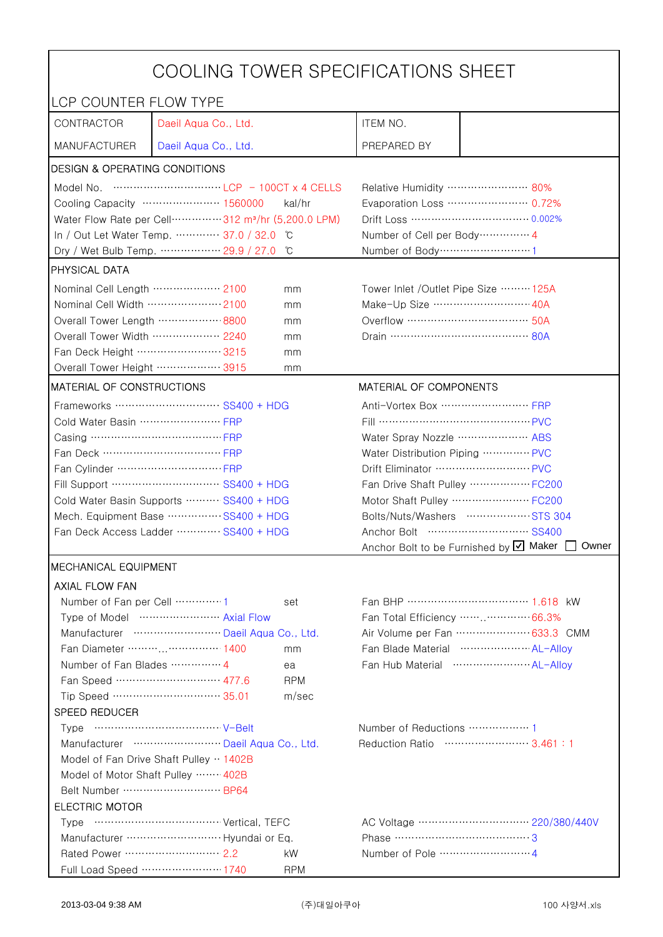| COOLING TOWER SPECIFICATIONS SHEET                                            |                                                                                                                                                                                                                                                                                                                                      |                                |                                                             |                                                             |  |
|-------------------------------------------------------------------------------|--------------------------------------------------------------------------------------------------------------------------------------------------------------------------------------------------------------------------------------------------------------------------------------------------------------------------------------|--------------------------------|-------------------------------------------------------------|-------------------------------------------------------------|--|
| LCP COUNTER FLOW TYPE                                                         |                                                                                                                                                                                                                                                                                                                                      |                                |                                                             |                                                             |  |
| CONTRACTOR                                                                    | Daeil Aqua Co., Ltd.                                                                                                                                                                                                                                                                                                                 |                                | ITEM NO.                                                    |                                                             |  |
| <b>MANUFACTURER</b>                                                           | Daeil Aqua Co., Ltd.                                                                                                                                                                                                                                                                                                                 |                                | PREPARED BY                                                 |                                                             |  |
| <b>DESIGN &amp; OPERATING CONDITIONS</b>                                      |                                                                                                                                                                                                                                                                                                                                      |                                |                                                             |                                                             |  |
|                                                                               | Model No. $\cdots$ $\cdots$ $\cdots$ $\cdots$ $\cdots$ $\cdots$ $\cdots$ $\cdots$ $\cdots$ $\cdots$ $\cdots$ $\cdots$ $\cdots$ $\cdots$ $\cdots$ $\cdots$ $\cdots$ $\cdots$ $\cdots$ $\cdots$ $\cdots$ $\cdots$ $\cdots$ $\cdots$ $\cdots$ $\cdots$ $\cdots$ $\cdots$ $\cdots$ $\cdots$ $\cdots$ $\cdots$ $\cdots$ $\cdots$ $\cdots$ |                                | Relative Humidity …………………… 80%                              |                                                             |  |
|                                                                               | Cooling Capacity ………………… 1560000                                                                                                                                                                                                                                                                                                     | kal/hr                         | Evaporation Loss ………………… 0.72%                              |                                                             |  |
| Water Flow Rate per Cell ··············· 312 m <sup>3</sup> /hr (5,200.0 LPM) |                                                                                                                                                                                                                                                                                                                                      |                                |                                                             |                                                             |  |
|                                                                               | In / Out Let Water Temp.  37.0 / 32.0 °C                                                                                                                                                                                                                                                                                             |                                | Number of Cell per Body ··············· 4                   |                                                             |  |
|                                                                               | Dry / Wet Bulb Temp.  29.9 / 27.0                                                                                                                                                                                                                                                                                                    | °C                             | Number of Body ·······························1             |                                                             |  |
| <b>PHYSICAL DATA</b>                                                          |                                                                                                                                                                                                                                                                                                                                      |                                |                                                             |                                                             |  |
| Nominal Cell Length ……………… 2100                                               |                                                                                                                                                                                                                                                                                                                                      | mm                             | Tower Inlet /Outlet Pipe Size  125A                         |                                                             |  |
| Nominal Cell Width 2100                                                       |                                                                                                                                                                                                                                                                                                                                      | mm                             | Make-Up Size ……………………… 40A                                  |                                                             |  |
| Overall Tower Length ……………… 8800                                              |                                                                                                                                                                                                                                                                                                                                      | mm                             |                                                             |                                                             |  |
| Overall Tower Width  2240                                                     |                                                                                                                                                                                                                                                                                                                                      | mm                             |                                                             |                                                             |  |
| Fan Deck Height …………………… 3215                                                 |                                                                                                                                                                                                                                                                                                                                      | mm                             |                                                             |                                                             |  |
| Overall Tower Height ……………… 3915                                              |                                                                                                                                                                                                                                                                                                                                      | mm                             |                                                             |                                                             |  |
| MATERIAL OF CONSTRUCTIONS                                                     |                                                                                                                                                                                                                                                                                                                                      |                                | MATERIAL OF COMPONENTS                                      |                                                             |  |
|                                                                               | Frameworks ………………………… SS400 + HDG                                                                                                                                                                                                                                                                                                    |                                | Anti-Vortex Box …………………… FRP                                |                                                             |  |
| Cold Water Basin  FRP                                                         |                                                                                                                                                                                                                                                                                                                                      |                                |                                                             |                                                             |  |
| Casing …………………………………… FRP                                                     |                                                                                                                                                                                                                                                                                                                                      | Water Spray Nozzle  ABS        |                                                             |                                                             |  |
| Fan Deck …………………………… FRP                                                      |                                                                                                                                                                                                                                                                                                                                      | Water Distribution Piping  PVC |                                                             |                                                             |  |
|                                                                               |                                                                                                                                                                                                                                                                                                                                      | Drift Eliminator  PVC          |                                                             |                                                             |  |
| Fill Support ………………………… SS400 + HDG                                           |                                                                                                                                                                                                                                                                                                                                      |                                | Fan Drive Shaft Pulley  FC200                               |                                                             |  |
| Cold Water Basin Supports  SS400 + HDG                                        |                                                                                                                                                                                                                                                                                                                                      |                                |                                                             | Motor Shaft Pulley ·························· FC200         |  |
| Mech. Equipment Base SS400 + HDG                                              |                                                                                                                                                                                                                                                                                                                                      |                                |                                                             | Bolts/Nuts/Washers  STS 304                                 |  |
| Fan Deck Access Ladder ………… SS400 + HDG                                       |                                                                                                                                                                                                                                                                                                                                      |                                |                                                             |                                                             |  |
|                                                                               |                                                                                                                                                                                                                                                                                                                                      |                                |                                                             | Anchor Bolt to be Furnished by $\boxtimes$ Maker [<br>Owner |  |
| <b>IMECHANICAL EQUIPMENT</b>                                                  |                                                                                                                                                                                                                                                                                                                                      |                                |                                                             |                                                             |  |
| <b>AXIAL FLOW FAN</b>                                                         |                                                                                                                                                                                                                                                                                                                                      |                                |                                                             |                                                             |  |
| Number of Fan per Cell 1                                                      |                                                                                                                                                                                                                                                                                                                                      | set                            |                                                             | Fan BHP ……………………………… 1.618 kW                               |  |
|                                                                               | Type of Model  Axial Flow                                                                                                                                                                                                                                                                                                            |                                |                                                             | Fan Total Efficiency  66.3%                                 |  |
|                                                                               | Manufacturer  Daeil Aqua Co., Ltd.                                                                                                                                                                                                                                                                                                   |                                |                                                             | Air Volume per Fan  633.3 CMM                               |  |
|                                                                               | Fan Diameter …………………… 1400                                                                                                                                                                                                                                                                                                           | mm                             |                                                             | Fan Blade Material  AL-Alloy                                |  |
| Number of Fan Blades  4                                                       | Fan Speed ………………………… 477.6                                                                                                                                                                                                                                                                                                           | ea                             |                                                             | Fan Hub Material  AL-Alloy                                  |  |
|                                                                               | Tip Speed ………………………… 35.01                                                                                                                                                                                                                                                                                                           | <b>RPM</b>                     |                                                             |                                                             |  |
| SPEED REDUCER                                                                 |                                                                                                                                                                                                                                                                                                                                      | m/sec                          |                                                             |                                                             |  |
|                                                                               |                                                                                                                                                                                                                                                                                                                                      |                                |                                                             |                                                             |  |
|                                                                               |                                                                                                                                                                                                                                                                                                                                      |                                | Number of Reductions  1<br>Reduction Ratio …………………… 3.461:1 |                                                             |  |
| Manufacturer  Daeil Aqua Co., Ltd.                                            |                                                                                                                                                                                                                                                                                                                                      |                                |                                                             |                                                             |  |
| Model of Fan Drive Shaft Pulley  1402B<br>Model of Motor Shaft Pulley  402B   |                                                                                                                                                                                                                                                                                                                                      |                                |                                                             |                                                             |  |
| Belt Number  BP64                                                             |                                                                                                                                                                                                                                                                                                                                      |                                |                                                             |                                                             |  |
| <b>ELECTRIC MOTOR</b>                                                         |                                                                                                                                                                                                                                                                                                                                      |                                |                                                             |                                                             |  |
|                                                                               |                                                                                                                                                                                                                                                                                                                                      |                                |                                                             |                                                             |  |
|                                                                               |                                                                                                                                                                                                                                                                                                                                      |                                | Phase …………………………………3                                        |                                                             |  |
|                                                                               |                                                                                                                                                                                                                                                                                                                                      | kW                             |                                                             |                                                             |  |
|                                                                               | Full Load Speed ………………… 1740                                                                                                                                                                                                                                                                                                         | <b>RPM</b>                     |                                                             |                                                             |  |